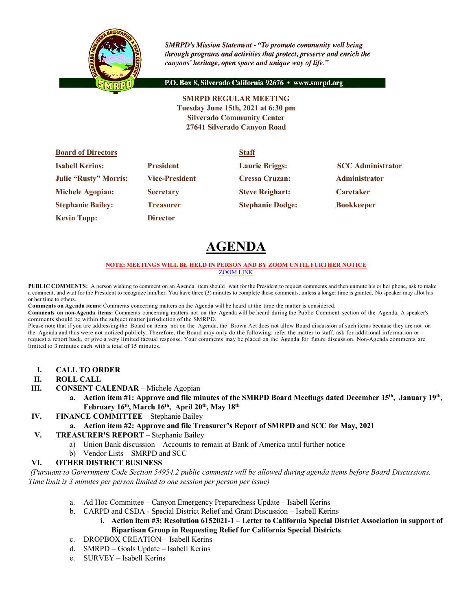

**SMRPD's Mission Statement - "To promote community well being** through programs and activities that protect, preserve and enrich the canyons' heritage, open space and unique way of life."

P.O. Box 8, Silverado California 92676 · www.smrpd.org

**SMRPD REGULAR MEETING Tuesday June 15th, 2021 at 6:30 pm Silverado Community Center 27641 Silverado Canyon Road**

| <b>Board of Directors</b>    |                       | <b>Staff</b>            |                          |
|------------------------------|-----------------------|-------------------------|--------------------------|
| <b>Isabell Kerins:</b>       | <b>President</b>      | <b>Laurie Briggs:</b>   | <b>SCC</b> Administrator |
| <b>Julie "Rusty" Morris:</b> | <b>Vice-President</b> | <b>Cressa Cruzan:</b>   | <b>Administrator</b>     |
| <b>Michele Agopian:</b>      | <b>Secretary</b>      | <b>Steve Reighart:</b>  | <b>Caretaker</b>         |
| <b>Stephanie Bailey:</b>     | <b>Treasurer</b>      | <b>Stephanie Dodge:</b> | <b>Bookkeeper</b>        |
| <b>Kevin Topp:</b>           | <b>Director</b>       |                         |                          |

# **AGENDA**

#### **NOTE: MEETINGS WILL BE HELD IN PERSON AND BY ZOOM UNTIL FURTHER NOTICE** ZOOM LINK

**PUBLIC COMMENTS:** A person wishing to comment on an Agenda item should wait for the President to request comments and then unmute his or her phone, ask to make a comment, and wait for the President to recognize him/her. You have three (3) minutes to complete those comments, unless a longer time is granted. No speaker may allot his or her time to others.

**Comments on Agenda items:** Comments concerning matters on the Agenda will be heard at the time the matter is considered.

**Comments on non-Agenda items:** Comments concerning matters not on the Agenda will be heard during the Public Comment section of the Agenda. A speaker's comments should be within the subject matter jurisdiction of the SMRPD.

Please note that if you are addressing the Board on items not on the Agenda, the Brown Act does not allow Board discussion of such items because they are not on the Agenda and thus were not noticed publicly. Therefore, the Board may only do the following: refer the matter to staff, ask for additional information or request a report back, or give a very limited factual response. Your comments may be placed on the Agenda for future discussion. Non-Agenda comments are limited to 3 minutes each with a total of 15 minutes.

- **I. CALL TO ORDER**
- **II. ROLL CALL**
- **III. CONSENT CALENDAR** Michele Agopian
	- **a. Action item #1: Approve and file minutes of the SMRPD Board Meetings dated December 15th, January 19th,**  February 16<sup>th</sup>, March 16<sup>th</sup>, April 20<sup>th</sup>, May 18<sup>th</sup>
- **IV. FINANCE COMMITTEE** Stephanie Bailey
	- **a. Action item #2: Approve and file Treasurer's Report of SMRPD and SCC for May, 2021**

#### **V. TREASURER'S REPORT** – Stephanie Bailey

- a) Union Bank discussion Accounts to remain at Bank of America until further notice
- b) Vendor Lists SMRPD and SCC

# **VI. OTHER DISTRICT BUSINESS**

*(Pursuant to Government Code Section 54954.2 public comments will be allowed during agenda items before Board Discussions. Time limit is 3 minutes per person limited to one session per person per issue)*

- a. Ad Hoc Committee Canyon Emergency Preparedness Update Isabell Kerins
- b. CARPD and CSDA Special District Relief and Grant Discussion Isabell Kerins
	- **i. Action item #3: Resolution 6152021-1 – Letter to California Special District Association in support of Bipartisan Group in Requesting Relief for California Special Districts**
- c. DROPBOX CREATION Isabell Kerins
- d. SMRPD Goals Update Isabell Kerins
- e. SURVEY Isabell Kerins